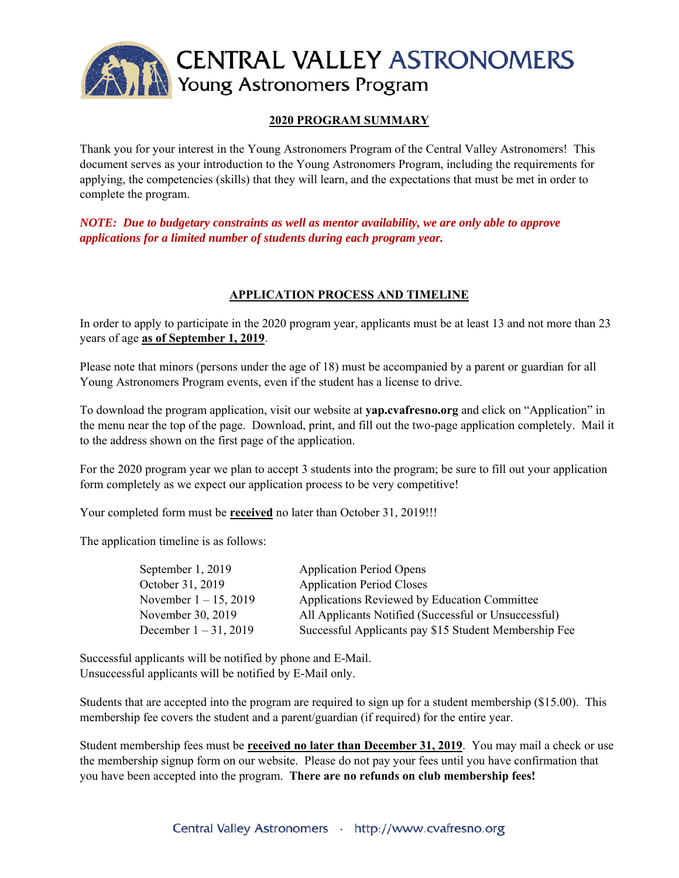

## **2020 PROGRAM SUMMARY**

Thank you for your interest in the Young Astronomers Program of the Central Valley Astronomers! This document serves as your introduction to the Young Astronomers Program, including the requirements for applying, the competencies (skills) that they will learn, and the expectations that must be met in order to complete the program.

*NOTE: Due to budgetary constraints as well as mentor availability, we are only able to approve applications for a limited number of students during each program year.* 

## **APPLICATION PROCESS AND TIMELINE**

In order to apply to participate in the 2020 program year, applicants must be at least 13 and not more than 23 years of age **as of September 1, 2019**.

Please note that minors (persons under the age of 18) must be accompanied by a parent or guardian for all Young Astronomers Program events, even if the student has a license to drive.

To download the program application, visit our website at **yap.cvafresno.org** and click on "Application" in the menu near the top of the page. Download, print, and fill out the two-page application completely. Mail it to the address shown on the first page of the application.

For the 2020 program year we plan to accept 3 students into the program; be sure to fill out your application form completely as we expect our application process to be very competitive!

Your completed form must be **received** no later than October 31, 2019!!!

The application timeline is as follows:

| <b>Application Period Opens</b>                       |
|-------------------------------------------------------|
| <b>Application Period Closes</b>                      |
| Applications Reviewed by Education Committee          |
| All Applicants Notified (Successful or Unsuccessful)  |
| Successful Applicants pay \$15 Student Membership Fee |
|                                                       |

Successful applicants will be notified by phone and E-Mail. Unsuccessful applicants will be notified by E-Mail only.

Students that are accepted into the program are required to sign up for a student membership (\$15.00). This membership fee covers the student and a parent/guardian (if required) for the entire year.

Student membership fees must be **received no later than December 31, 2019**. You may mail a check or use the membership signup form on our website. Please do not pay your fees until you have confirmation that you have been accepted into the program. **There are no refunds on club membership fees!**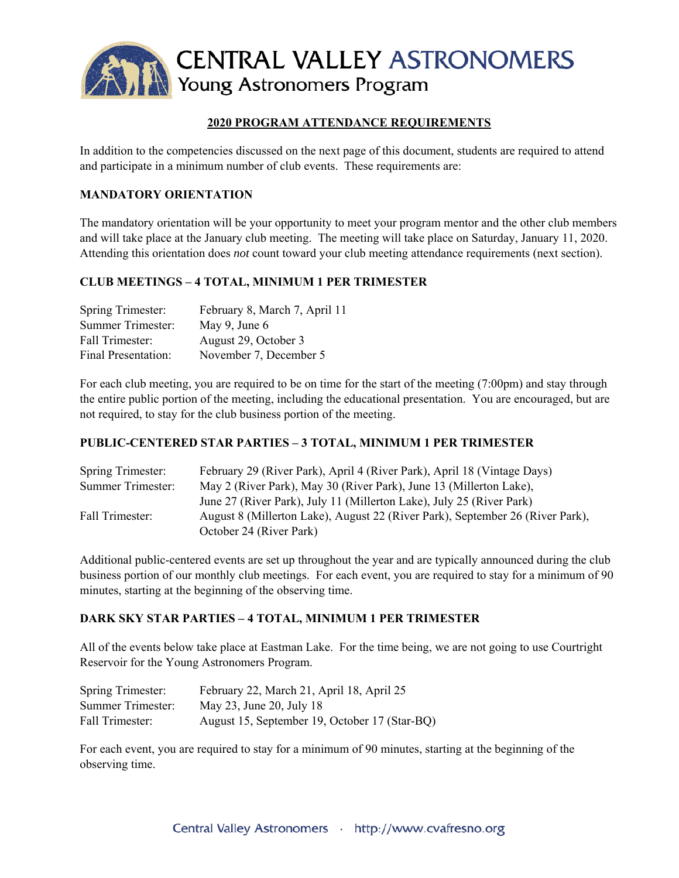

# **2020 PROGRAM ATTENDANCE REQUIREMENTS**

In addition to the competencies discussed on the next page of this document, students are required to attend and participate in a minimum number of club events. These requirements are:

## **MANDATORY ORIENTATION**

The mandatory orientation will be your opportunity to meet your program mentor and the other club members and will take place at the January club meeting. The meeting will take place on Saturday, January 11, 2020. Attending this orientation does *not* count toward your club meeting attendance requirements (next section).

#### **CLUB MEETINGS – 4 TOTAL, MINIMUM 1 PER TRIMESTER**

| Spring Trimester:          | February 8, March 7, April 11 |
|----------------------------|-------------------------------|
| Summer Trimester:          | May 9, June $6$               |
| Fall Trimester:            | August 29, October 3          |
| <b>Final Presentation:</b> | November 7, December 5        |

For each club meeting, you are required to be on time for the start of the meeting (7:00pm) and stay through the entire public portion of the meeting, including the educational presentation. You are encouraged, but are not required, to stay for the club business portion of the meeting.

## **PUBLIC-CENTERED STAR PARTIES – 3 TOTAL, MINIMUM 1 PER TRIMESTER**

| Spring Trimester: | February 29 (River Park), April 4 (River Park), April 18 (Vintage Days)       |
|-------------------|-------------------------------------------------------------------------------|
| Summer Trimester: | May 2 (River Park), May 30 (River Park), June 13 (Millerton Lake),            |
|                   | June 27 (River Park), July 11 (Millerton Lake), July 25 (River Park)          |
| Fall Trimester:   | August 8 (Millerton Lake), August 22 (River Park), September 26 (River Park), |
|                   | October 24 (River Park)                                                       |

Additional public-centered events are set up throughout the year and are typically announced during the club business portion of our monthly club meetings. For each event, you are required to stay for a minimum of 90 minutes, starting at the beginning of the observing time.

#### **DARK SKY STAR PARTIES – 4 TOTAL, MINIMUM 1 PER TRIMESTER**

All of the events below take place at Eastman Lake. For the time being, we are not going to use Courtright Reservoir for the Young Astronomers Program.

| Spring Trimester: | February 22, March 21, April 18, April 25     |
|-------------------|-----------------------------------------------|
| Summer Trimester: | May 23, June 20, July 18                      |
| Fall Trimester:   | August 15, September 19, October 17 (Star-BQ) |

For each event, you are required to stay for a minimum of 90 minutes, starting at the beginning of the observing time.